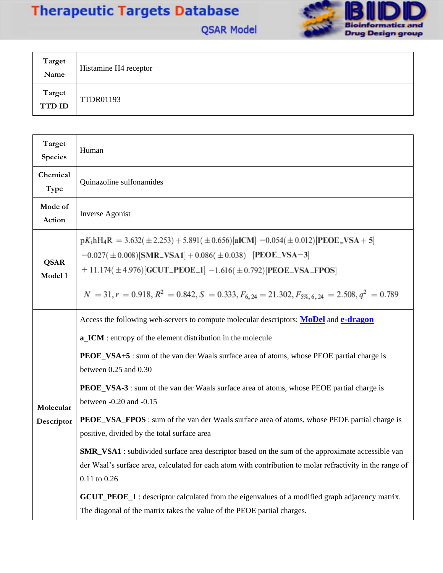## **Therapeutic Targets Database**



**QSAR Model** 

| Target<br>Name          | Histamine H4 receptor |
|-------------------------|-----------------------|
| Target<br><b>TTD ID</b> | <b>TTDR01193</b>      |

| Target<br><b>Species</b> | Human                                                                                                                                                                                                                                                                                                                                                                                                                                                                                                                                                                                                                                                                                                                                                                                                                                                                                                                                                                                    |
|--------------------------|------------------------------------------------------------------------------------------------------------------------------------------------------------------------------------------------------------------------------------------------------------------------------------------------------------------------------------------------------------------------------------------------------------------------------------------------------------------------------------------------------------------------------------------------------------------------------------------------------------------------------------------------------------------------------------------------------------------------------------------------------------------------------------------------------------------------------------------------------------------------------------------------------------------------------------------------------------------------------------------|
| Chemical<br>Type         | Quinazoline sulfonamides                                                                                                                                                                                                                                                                                                                                                                                                                                                                                                                                                                                                                                                                                                                                                                                                                                                                                                                                                                 |
| Mode of<br>Action        | <b>Inverse Agonist</b>                                                                                                                                                                                                                                                                                                                                                                                                                                                                                                                                                                                                                                                                                                                                                                                                                                                                                                                                                                   |
| <b>QSAR</b><br>Model 1   | $pK_i hH_4R = 3.632(\pm 2.253) + 5.891(\pm 0.656)[\text{aICM}] -0.054(\pm 0.012)[\text{PEOE}_VSA + 5]$<br>$-0.027(\pm 0.008)$ [SMR_VSA1] + 0.086( $\pm 0.038$ ) [PEOE_VSA-3]<br>$+ 11.174(\pm 4.976)$ [GCUT_PEOE_1] -1.616( $\pm 0.792$ )[PEOE_VSA_FPOS]<br>$N = 31, r = 0.918, R^2 = 0.842, S = 0.333, F_{6,24} = 21.302, F_{5\%, 6,24} = 2.508, q^2 = 0.789$                                                                                                                                                                                                                                                                                                                                                                                                                                                                                                                                                                                                                           |
| Molecular<br>Descriptor  | Access the following web-servers to compute molecular descriptors: MoDel and e-dragon<br>a_ICM : entropy of the element distribution in the molecule<br>PEOE_VSA+5 : sum of the van der Waals surface area of atoms, whose PEOE partial charge is<br>between 0.25 and 0.30<br><b>PEOE_VSA-3</b> : sum of the van der Waals surface area of atoms, whose PEOE partial charge is<br>between -0.20 and -0.15<br><b>PEOE_VSA_FPOS</b> : sum of the van der Waals surface area of atoms, whose PEOE partial charge is<br>positive, divided by the total surface area<br>SMR_VSA1 : subdivided surface area descriptor based on the sum of the approximate accessible van<br>der Waal's surface area, calculated for each atom with contribution to molar refractivity in the range of<br>$0.11$ to $0.26$<br><b>GCUT_PEOE_1</b> : descriptor calculated from the eigenvalues of a modified graph adjacency matrix.<br>The diagonal of the matrix takes the value of the PEOE partial charges. |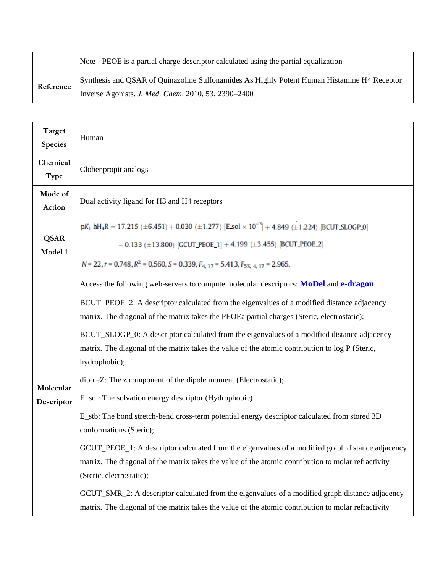|           | Note - PEOE is a partial charge descriptor calculated using the partial equalization        |
|-----------|---------------------------------------------------------------------------------------------|
| Reference | Synthesis and QSAR of Quinazoline Sulfonamides As Highly Potent Human Histamine H4 Receptor |
|           | Inverse Agonists. J. Med. Chem. 2010, 53, 2390-2400                                         |

| Target<br><b>Species</b> | Human                                                                                                                                                                                                                                                                                                                                                                                                                                                                                                                                                                                                                                                                                                                                                                                                                                                                                                                                                                                                                                                                                                                                                                                                                      |
|--------------------------|----------------------------------------------------------------------------------------------------------------------------------------------------------------------------------------------------------------------------------------------------------------------------------------------------------------------------------------------------------------------------------------------------------------------------------------------------------------------------------------------------------------------------------------------------------------------------------------------------------------------------------------------------------------------------------------------------------------------------------------------------------------------------------------------------------------------------------------------------------------------------------------------------------------------------------------------------------------------------------------------------------------------------------------------------------------------------------------------------------------------------------------------------------------------------------------------------------------------------|
| Chemical<br>Type         | Clobenpropit analogs                                                                                                                                                                                                                                                                                                                                                                                                                                                                                                                                                                                                                                                                                                                                                                                                                                                                                                                                                                                                                                                                                                                                                                                                       |
| Mode of<br>Action        | Dual activity ligand for H3 and H4 receptors                                                                                                                                                                                                                                                                                                                                                                                                                                                                                                                                                                                                                                                                                                                                                                                                                                                                                                                                                                                                                                                                                                                                                                               |
| <b>QSAR</b><br>Model 1   | $pK_1$ hH <sub>4</sub> R = 17.215 (±6.451) + 0.030 (±1.277) [E sol $\times$ 10 <sup>-3</sup> ] + 4.849 (±1.224) [BCUT SLOGP 0]<br>$-0.133$ (±13.800) [GCUT_PEOE_1] + 4.199 (±3.455) [BCUT_PEOE_2]<br>$N = 22$ , $r = 0.748$ , $R^2 = 0.560$ , $S = 0.339$ , $F_{4, 17} = 5.413$ , $F_{5\%$ , $4, 17 = 2.965$ .                                                                                                                                                                                                                                                                                                                                                                                                                                                                                                                                                                                                                                                                                                                                                                                                                                                                                                             |
| Molecular<br>Descriptor  | Access the following web-servers to compute molecular descriptors: <b>MoDel</b> and <b>e-dragon</b><br>BCUT_PEOE_2: A descriptor calculated from the eigenvalues of a modified distance adjacency<br>matrix. The diagonal of the matrix takes the PEOEa partial charges (Steric, electrostatic);<br>BCUT_SLOGP_0: A descriptor calculated from the eigenvalues of a modified distance adjacency<br>matrix. The diagonal of the matrix takes the value of the atomic contribution to log P (Steric,<br>hydrophobic);<br>dipoleZ: The z component of the dipole moment (Electrostatic);<br>E_sol: The solvation energy descriptor (Hydrophobic)<br>E_stb: The bond stretch-bend cross-term potential energy descriptor calculated from stored 3D<br>conformations (Steric);<br>GCUT_PEOE_1: A descriptor calculated from the eigenvalues of a modified graph distance adjacency<br>matrix. The diagonal of the matrix takes the value of the atomic contribution to molar refractivity<br>(Steric, electrostatic);<br>GCUT_SMR_2: A descriptor calculated from the eigenvalues of a modified graph distance adjacency<br>matrix. The diagonal of the matrix takes the value of the atomic contribution to molar refractivity |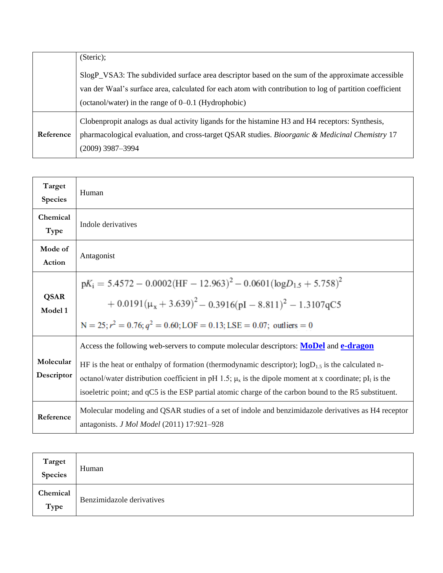|           | (Steric);                                                                                               |
|-----------|---------------------------------------------------------------------------------------------------------|
|           | SlogP_VSA3: The subdivided surface area descriptor based on the sum of the approximate accessible       |
|           | van der Waal's surface area, calculated for each atom with contribution to log of partition coefficient |
|           | (octanol/water) in the range of 0–0.1 (Hydrophobic)                                                     |
|           | Cloben propit analogs as dual activity ligands for the histamine H3 and H4 receptors: Synthesis,        |
| Reference | pharmacological evaluation, and cross-target QSAR studies. Bioorganic & Medicinal Chemistry 17          |
|           | $(2009)$ 3987-3994                                                                                      |

| Target<br><b>Species</b> | Human                                                                                                                                                                                                                                                                                                                                                                                                                                           |
|--------------------------|-------------------------------------------------------------------------------------------------------------------------------------------------------------------------------------------------------------------------------------------------------------------------------------------------------------------------------------------------------------------------------------------------------------------------------------------------|
| Chemical<br>Type         | Indole derivatives                                                                                                                                                                                                                                                                                                                                                                                                                              |
| Mode of<br>Action        | Antagonist                                                                                                                                                                                                                                                                                                                                                                                                                                      |
| <b>QSAR</b><br>Model 1   | $pK_i = 5.4572 - 0.0002(HF - 12.963)^2 - 0.0601(\log D_{1.5} + 5.758)^2$<br>$+ 0.0191(\mu_{x} + 3.639)^{2} - 0.3916(\text{pI} - 8.811)^{2} - 1.3107qC5$<br>$N = 25$ ; $r^2 = 0.76$ ; $q^2 = 0.60$ ; LOF = 0.13; LSE = 0.07; outliers = 0                                                                                                                                                                                                        |
| Molecular<br>Descriptor  | Access the following web-servers to compute molecular descriptors: <b>MoDel</b> and <b>e-dragon</b><br>HF is the heat or enthalpy of formation (thermodynamic descriptor); $logD_{1.5}$ is the calculated n-<br>octanol/water distribution coefficient in pH 1.5; $\mu_x$ is the dipole moment at x coordinate; pI <sub>1</sub> is the<br>isoeletric point; and qC5 is the ESP partial atomic charge of the carbon bound to the R5 substituent. |
| Reference                | Molecular modeling and QSAR studies of a set of indole and benzimidazole derivatives as H4 receptor<br>antagonists. J Mol Model (2011) 17:921-928                                                                                                                                                                                                                                                                                               |

| Target<br>Species | Human                     |
|-------------------|---------------------------|
| Chemical<br>Type  | Benzimidazole derivatives |